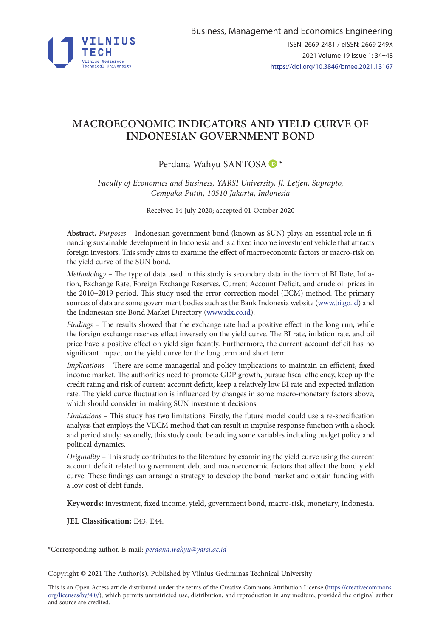

# **MACROECONOMIC INDICATORS AND YIELD CURVE OF INDONESIAN GOVERNMENT BOND**

# Perdana Wahyu SANTOSA  $\blacksquare$ \*

*Faculty of Economics and Business, YARSI University, Jl. Letjen, Suprapto, Cempaka Putih, 10510 Jakarta, Indonesia*

Received 14 July 2020; accepted 01 October 2020

**Abstract.** *Purposes* – Indonesian government bond (known as SUN) plays an essential role in financing sustainable development in Indonesia and is a fixed income investment vehicle that attracts foreign investors. This study aims to examine the effect of macroeconomic factors or macro-risk on the yield curve of the SUN bond.

*Methodology* – The type of data used in this study is secondary data in the form of BI Rate, Inflation, Exchange Rate, Foreign Exchange Reserves, Current Account Deficit, and crude oil prices in the 2010–2019 period. This study used the error correction model (ECM) method. The primary sources of data are some government bodies such as the Bank Indonesia website [\(www.bi.go.id](http://www.bi.go.id)) and the Indonesian site Bond Market Directory ([www.idx.co.id\)](http://www.idx.co.id).

*Findings* – The results showed that the exchange rate had a positive effect in the long run, while the foreign exchange reserves effect inversely on the yield curve. The BI rate, inflation rate, and oil price have a positive effect on yield significantly. Furthermore, the current account deficit has no significant impact on the yield curve for the long term and short term.

*Implications* – There are some managerial and policy implications to maintain an efficient, fixed income market. The authorities need to promote GDP growth, pursue fiscal efficiency, keep up the credit rating and risk of current account deficit, keep a relatively low BI rate and expected inflation rate. The yield curve fluctuation is influenced by changes in some macro-monetary factors above, which should consider in making SUN investment decisions.

*Limitations* – This study has two limitations. Firstly, the future model could use a re-specification analysis that employs the VECM method that can result in impulse response function with a shock and period study; secondly, this study could be adding some variables including budget policy and political dynamics.

*Originality* – This study contributes to the literature by examining the yield curve using the current account deficit related to government debt and macroeconomic factors that affect the bond yield curve. These findings can arrange a strategy to develop the bond market and obtain funding with a low cost of debt funds.

**Keywords:** investment, fixed income, yield, government bond, macro-risk, monetary, Indonesia.

**JEL Classification:** E43, E44.

Copyright © 2021 The Author(s). Published by Vilnius Gediminas Technical University

This is an Open Access article distributed under the terms of the Creative Commons Attribution License (https://creativecommons. org/licenses/by/4.0/), which permits unrestricted use, distribution, and reproduction in any medium, provided the original author and source are credited.

<sup>\*</sup>Corresponding author. E-mail: *perdana.wahyu@yarsi.ac.id*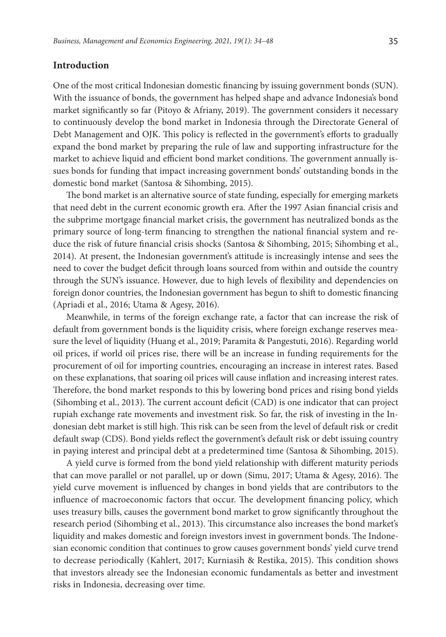## **Introduction**

One of the most critical Indonesian domestic financing by issuing government bonds (SUN). With the issuance of bonds, the government has helped shape and advance Indonesia's bond market significantly so far (Pitoyo & Afriany, 2019). The government considers it necessary to continuously develop the bond market in Indonesia through the Directorate General of Debt Management and OJK. This policy is reflected in the government's efforts to gradually expand the bond market by preparing the rule of law and supporting infrastructure for the market to achieve liquid and efficient bond market conditions. The government annually issues bonds for funding that impact increasing government bonds' outstanding bonds in the domestic bond market (Santosa & Sihombing, 2015).

The bond market is an alternative source of state funding, especially for emerging markets that need debt in the current economic growth era. After the 1997 Asian financial crisis and the subprime mortgage financial market crisis, the government has neutralized bonds as the primary source of long-term financing to strengthen the national financial system and reduce the risk of future financial crisis shocks (Santosa & Sihombing, 2015; Sihombing et al., 2014). At present, the Indonesian government's attitude is increasingly intense and sees the need to cover the budget deficit through loans sourced from within and outside the country through the SUN's issuance. However, due to high levels of flexibility and dependencies on foreign donor countries, the Indonesian government has begun to shift to domestic financing (Apriadi et al., 2016; Utama & Agesy, 2016).

Meanwhile, in terms of the foreign exchange rate, a factor that can increase the risk of default from government bonds is the liquidity crisis, where foreign exchange reserves measure the level of liquidity (Huang et al., 2019; Paramita & Pangestuti, 2016). Regarding world oil prices, if world oil prices rise, there will be an increase in funding requirements for the procurement of oil for importing countries, encouraging an increase in interest rates. Based on these explanations, that soaring oil prices will cause inflation and increasing interest rates. Therefore, the bond market responds to this by lowering bond prices and rising bond yields (Sihombing et al., 2013). The current account deficit (CAD) is one indicator that can project rupiah exchange rate movements and investment risk. So far, the risk of investing in the Indonesian debt market is still high. This risk can be seen from the level of default risk or credit default swap (CDS). Bond yields reflect the government's default risk or debt issuing country in paying interest and principal debt at a predetermined time (Santosa & Sihombing, 2015).

A yield curve is formed from the bond yield relationship with different maturity periods that can move parallel or not parallel, up or down (Simu, 2017; Utama & Agesy, 2016). The yield curve movement is influenced by changes in bond yields that are contributors to the influence of macroeconomic factors that occur. The development financing policy, which uses treasury bills, causes the government bond market to grow significantly throughout the research period (Sihombing et al., 2013). This circumstance also increases the bond market's liquidity and makes domestic and foreign investors invest in government bonds. The Indonesian economic condition that continues to grow causes government bonds' yield curve trend to decrease periodically (Kahlert, 2017; Kurniasih & Restika, 2015). This condition shows that investors already see the Indonesian economic fundamentals as better and investment risks in Indonesia, decreasing over time.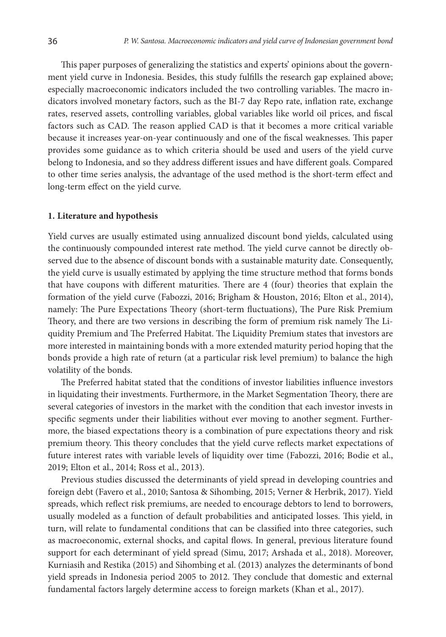This paper purposes of generalizing the statistics and experts' opinions about the government yield curve in Indonesia. Besides, this study fulfills the research gap explained above; especially macroeconomic indicators included the two controlling variables. The macro indicators involved monetary factors, such as the BI-7 day Repo rate, inflation rate, exchange rates, reserved assets, controlling variables, global variables like world oil prices, and fiscal factors such as CAD. The reason applied CAD is that it becomes a more critical variable because it increases year-on-year continuously and one of the fiscal weaknesses. This paper provides some guidance as to which criteria should be used and users of the yield curve belong to Indonesia, and so they address different issues and have different goals. Compared to other time series analysis, the advantage of the used method is the short-term effect and long-term effect on the yield curve.

#### **1. Literature and hypothesis**

Yield curves are usually estimated using annualized discount bond yields, calculated using the continuously compounded interest rate method. The yield curve cannot be directly observed due to the absence of discount bonds with a sustainable maturity date. Consequently, the yield curve is usually estimated by applying the time structure method that forms bonds that have coupons with different maturities. There are 4 (four) theories that explain the formation of the yield curve (Fabozzi, 2016; Brigham & Houston, 2016; Elton et al., 2014), namely: The Pure Expectations Theory (short-term fluctuations), The Pure Risk Premium Theory, and there are two versions in describing the form of premium risk namely The Liquidity Premium and The Preferred Habitat. The Liquidity Premium states that investors are more interested in maintaining bonds with a more extended maturity period hoping that the bonds provide a high rate of return (at a particular risk level premium) to balance the high volatility of the bonds.

The Preferred habitat stated that the conditions of investor liabilities influence investors in liquidating their investments. Furthermore, in the Market Segmentation Theory, there are several categories of investors in the market with the condition that each investor invests in specific segments under their liabilities without ever moving to another segment. Furthermore, the biased expectations theory is a combination of pure expectations theory and risk premium theory. This theory concludes that the yield curve reflects market expectations of future interest rates with variable levels of liquidity over time (Fabozzi, 2016; Bodie et al., 2019; Elton et al., 2014; Ross et al., 2013).

Previous studies discussed the determinants of yield spread in developing countries and foreign debt (Favero et al., 2010; Santosa & Sihombing, 2015; Verner & Herbrik, 2017). Yield spreads, which reflect risk premiums, are needed to encourage debtors to lend to borrowers, usually modeled as a function of default probabilities and anticipated losses. This yield, in turn, will relate to fundamental conditions that can be classified into three categories, such as macroeconomic, external shocks, and capital flows. In general, previous literature found support for each determinant of yield spread (Simu, 2017; Arshada et al., 2018). Moreover, Kurniasih and Restika (2015) and Sihombing et al. (2013) analyzes the determinants of bond yield spreads in Indonesia period 2005 to 2012. They conclude that domestic and external fundamental factors largely determine access to foreign markets (Khan et al., 2017).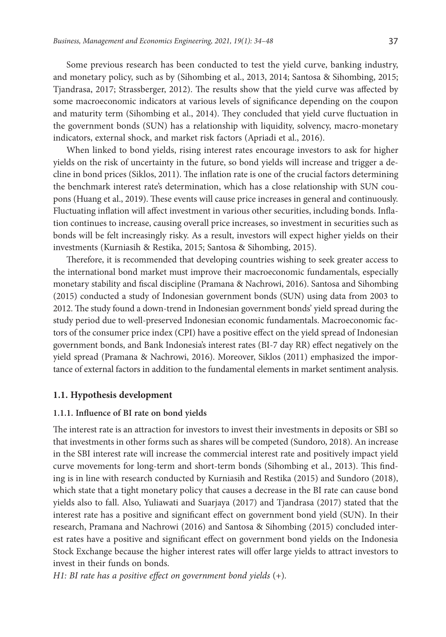Some previous research has been conducted to test the yield curve, banking industry, and monetary policy, such as by (Sihombing et al., 2013, 2014; Santosa & Sihombing, 2015; Tjandrasa, 2017; Strassberger, 2012). The results show that the yield curve was affected by some macroeconomic indicators at various levels of significance depending on the coupon and maturity term (Sihombing et al., 2014). They concluded that yield curve fluctuation in the government bonds (SUN) has a relationship with liquidity, solvency, macro-monetary indicators, external shock, and market risk factors (Apriadi et al., 2016).

When linked to bond yields, rising interest rates encourage investors to ask for higher yields on the risk of uncertainty in the future, so bond yields will increase and trigger a decline in bond prices (Siklos, 2011). The inflation rate is one of the crucial factors determining the benchmark interest rate's determination, which has a close relationship with SUN coupons (Huang et al., 2019). These events will cause price increases in general and continuously. Fluctuating inflation will affect investment in various other securities, including bonds. Inflation continues to increase, causing overall price increases, so investment in securities such as bonds will be felt increasingly risky. As a result, investors will expect higher yields on their investments (Kurniasih & Restika, 2015; Santosa & Sihombing, 2015).

Therefore, it is recommended that developing countries wishing to seek greater access to the international bond market must improve their macroeconomic fundamentals, especially monetary stability and fiscal discipline (Pramana & Nachrowi, 2016). Santosa and Sihombing (2015) conducted a study of Indonesian government bonds (SUN) using data from 2003 to 2012. The study found a down-trend in Indonesian government bonds' yield spread during the study period due to well-preserved Indonesian economic fundamentals. Macroeconomic factors of the consumer price index (CPI) have a positive effect on the yield spread of Indonesian government bonds, and Bank Indonesia's interest rates (BI-7 day RR) effect negatively on the yield spread (Pramana & Nachrowi, 2016). Moreover, Siklos (2011) emphasized the importance of external factors in addition to the fundamental elements in market sentiment analysis.

## **1.1. Hypothesis development**

#### **1.1.1. Influence of BI rate on bond yields**

The interest rate is an attraction for investors to invest their investments in deposits or SBI so that investments in other forms such as shares will be competed (Sundoro, 2018). An increase in the SBI interest rate will increase the commercial interest rate and positively impact yield curve movements for long-term and short-term bonds (Sihombing et al., 2013). This finding is in line with research conducted by Kurniasih and Restika (2015) and Sundoro (2018), which state that a tight monetary policy that causes a decrease in the BI rate can cause bond yields also to fall. Also, Yuliawati and Suarjaya (2017) and Tjandrasa (2017) stated that the interest rate has a positive and significant effect on government bond yield (SUN). In their research, Pramana and Nachrowi (2016) and Santosa & Sihombing (2015) concluded interest rates have a positive and significant effect on government bond yields on the Indonesia Stock Exchange because the higher interest rates will offer large yields to attract investors to invest in their funds on bonds.

*H1: BI rate has a positive effect on government bond yields* (+)*.*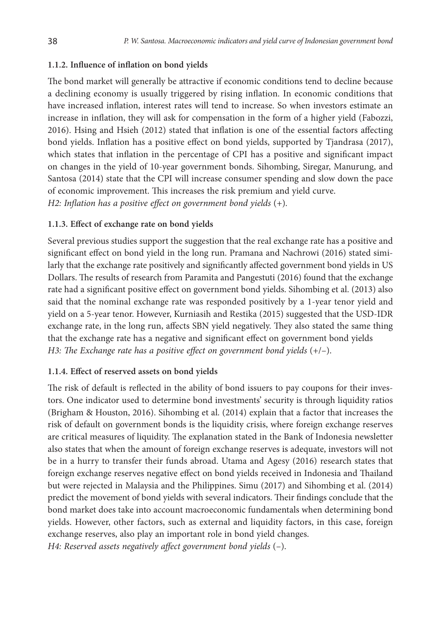## **1.1.2. Influence of inflation on bond yields**

The bond market will generally be attractive if economic conditions tend to decline because a declining economy is usually triggered by rising inflation. In economic conditions that have increased inflation, interest rates will tend to increase. So when investors estimate an increase in inflation, they will ask for compensation in the form of a higher yield (Fabozzi, 2016). Hsing and Hsieh (2012) stated that inflation is one of the essential factors affecting bond yields. Inflation has a positive effect on bond yields, supported by Tjandrasa (2017), which states that inflation in the percentage of CPI has a positive and significant impact on changes in the yield of 10-year government bonds. Sihombing, Siregar, Manurung, and Santosa (2014) state that the CPI will increase consumer spending and slow down the pace of economic improvement. This increases the risk premium and yield curve. *H2: Inflation has a positive effect on government bond yields* (+)*.*

## **1.1.3. Effect of exchange rate on bond yields**

Several previous studies support the suggestion that the real exchange rate has a positive and significant effect on bond yield in the long run. Pramana and Nachrowi (2016) stated similarly that the exchange rate positively and significantly affected government bond yields in US Dollars. The results of research from Paramita and Pangestuti (2016) found that the exchange rate had a significant positive effect on government bond yields. Sihombing et al. (2013) also said that the nominal exchange rate was responded positively by a 1-year tenor yield and yield on a 5-year tenor. However, Kurniasih and Restika (2015) suggested that the USD-IDR exchange rate, in the long run, affects SBN yield negatively. They also stated the same thing that the exchange rate has a negative and significant effect on government bond yields *H3: The Exchange rate has a positive effect on government bond yields* (+/–).

## **1.1.4. Effect of reserved assets on bond yields**

The risk of default is reflected in the ability of bond issuers to pay coupons for their investors. One indicator used to determine bond investments' security is through liquidity ratios (Brigham & Houston, 2016). Sihombing et al. (2014) explain that a factor that increases the risk of default on government bonds is the liquidity crisis, where foreign exchange reserves are critical measures of liquidity. The explanation stated in the Bank of Indonesia newsletter also states that when the amount of foreign exchange reserves is adequate, investors will not be in a hurry to transfer their funds abroad. Utama and Agesy (2016) research states that foreign exchange reserves negative effect on bond yields received in Indonesia and Thailand but were rejected in Malaysia and the Philippines. Simu (2017) and Sihombing et al. (2014) predict the movement of bond yields with several indicators. Their findings conclude that the bond market does take into account macroeconomic fundamentals when determining bond yields. However, other factors, such as external and liquidity factors, in this case, foreign exchange reserves, also play an important role in bond yield changes.

*H4: Reserved assets negatively affect government bond yields* (–).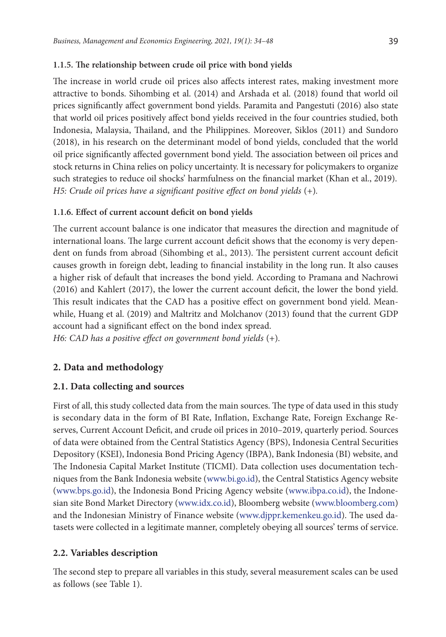## **1.1.5. The relationship between crude oil price with bond yields**

The increase in world crude oil prices also affects interest rates, making investment more attractive to bonds. Sihombing et al. (2014) and Arshada et al. (2018) found that world oil prices significantly affect government bond yields. Paramita and Pangestuti (2016) also state that world oil prices positively affect bond yields received in the four countries studied, both Indonesia, Malaysia, Thailand, and the Philippines. Moreover, Siklos (2011) and Sundoro (2018), in his research on the determinant model of bond yields, concluded that the world oil price significantly affected government bond yield. The association between oil prices and stock returns in China relies on policy uncertainty. It is necessary for policymakers to organize such strategies to reduce oil shocks' harmfulness on the financial market (Khan et al., 2019). *H5: Crude oil prices have a significant positive effect on bond yields* (+)*.*

## **1.1.6. Effect of current account deficit on bond yields**

The current account balance is one indicator that measures the direction and magnitude of international loans. The large current account deficit shows that the economy is very dependent on funds from abroad (Sihombing et al., 2013). The persistent current account deficit causes growth in foreign debt, leading to financial instability in the long run. It also causes a higher risk of default that increases the bond yield. According to Pramana and Nachrowi (2016) and Kahlert (2017), the lower the current account deficit, the lower the bond yield. This result indicates that the CAD has a positive effect on government bond yield. Meanwhile, Huang et al. (2019) and Maltritz and Molchanov (2013) found that the current GDP account had a significant effect on the bond index spread.

*H6: CAD has a positive effect on government bond yields* (+)*.*

# **2. Data and methodology**

# **2.1. Data collecting and sources**

First of all, this study collected data from the main sources. The type of data used in this study is secondary data in the form of BI Rate, Inflation, Exchange Rate, Foreign Exchange Reserves, Current Account Deficit, and crude oil prices in 2010–2019, quarterly period. Sources of data were obtained from the Central Statistics Agency (BPS), Indonesia Central Securities Depository (KSEI), Indonesia Bond Pricing Agency (IBPA), Bank Indonesia (BI) website, and The Indonesia Capital Market Institute (TICMI). Data collection uses documentation techniques from the Bank Indonesia website ([www.bi.go.id](http://www.bi.go.id)), the Central Statistics Agency website [\(www.bps.go.id](http://www.bps.go.id)), the Indonesia Bond Pricing Agency website [\(www.ibpa.co.id](http://www.ibpa.co.id)), the Indonesian site Bond Market Directory [\(www.idx.co.id\)](http://www.idx.co.id), Bloomberg website [\(www.bloomberg.com\)](http://www.bloomberg.com) and the Indonesian Ministry of Finance website ([www.djppr.kemenkeu.go.id\)](http://www.djppr.kemenkeu.go.id). The used datasets were collected in a legitimate manner, completely obeying all sources' terms of service.

# **2.2. Variables description**

The second step to prepare all variables in this study, several measurement scales can be used as follows (see Table 1).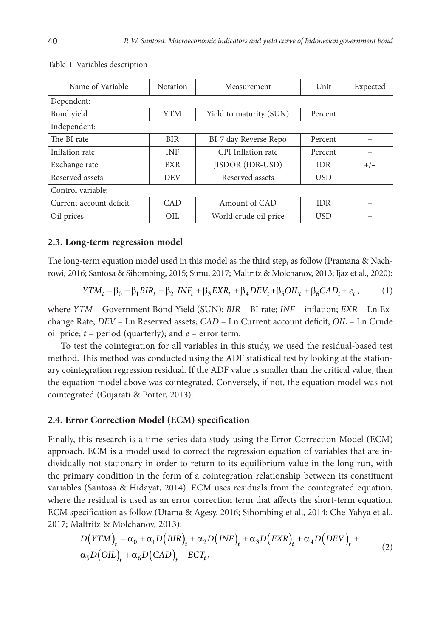| Name of Variable        | <b>Notation</b> | Measurement             | Unit       | Expected |
|-------------------------|-----------------|-------------------------|------------|----------|
| Dependent:              |                 |                         |            |          |
| Bond yield              | <b>YTM</b>      | Yield to maturity (SUN) | Percent    |          |
| Independent:            |                 |                         |            |          |
| The BI rate             | <b>BIR</b>      | BI-7 day Reverse Repo   | Percent    | $^{+}$   |
| Inflation rate          | <b>INF</b>      | CPI Inflation rate      | Percent    | $^{+}$   |
| Exchange rate           | EXR             | <b>IISDOR (IDR-USD)</b> | <b>IDR</b> | $+/-$    |
| Reserved assets         | <b>DEV</b>      | Reserved assets         | <b>USD</b> |          |
| Control variable:       |                 |                         |            |          |
| Current account deficit | CAD             | Amount of CAD           | <b>IDR</b> | $^{+}$   |
| Oil prices              | OIL             | World crude oil price   | <b>USD</b> | $^{+}$   |

#### Table 1. Variables description

#### **2.3. Long-term regression model**

The long-term equation model used in this model as the third step, as follow (Pramana & Nachrowi, 2016; Santosa & Sihombing, 2015; Simu, 2017; Maltritz & Molchanov, 2013; Ijaz et al., 2020):

$$
YTM_t = \beta_0 + \beta_1 BIR_t + \beta_2 INF_t + \beta_3 EXR_t + \beta_4 DEV_t + \beta_5 OIL_t + \beta_6 CAD_t + e_t,
$$
 (1)

where *YTM* – Government Bond Yield (SUN); *BIR* – BI rate; *INF* – inflation; *EXR* – Ln Exchange Rate; *DEV* – Ln Reserved assets; *CAD* – Ln Current account deficit; *OIL* – Ln Crude oil price; *t* – period (quarterly); and *e* – error term.

To test the cointegration for all variables in this study, we used the residual-based test method. This method was conducted using the ADF statistical test by looking at the stationary cointegration regression residual. If the ADF value is smaller than the critical value, then the equation model above was cointegrated. Conversely, if not, the equation model was not cointegrated (Gujarati & Porter, 2013).

### **2.4. Error Correction Model (ECM) specification**

Finally, this research is a time-series data study using the Error Correction Model (ECM) approach. ECM is a model used to correct the regression equation of variables that are individually not stationary in order to return to its equilibrium value in the long run, with the primary condition in the form of a cointegration relationship between its constituent variables (Santosa & Hidayat, 2014). ECM uses residuals from the cointegrated equation, where the residual is used as an error correction term that affects the short-term equation. ECM specification as follow (Utama & Agesy, 2016; Sihombing et al., 2014; Che-Yahya et al., 2017; Maltritz & Molchanov, 2013):

$$
D\big(YTM\big)_t = \alpha_0 + \alpha_1 D\big(BIR\big)_t + \alpha_2 D\big(INF\big)_t + \alpha_3 D\big( EXP\big)_t + \alpha_4 D\big(DEF\big)_t + \alpha_5 D\big(OIL\big)_t + \alpha_6 D\big(CAD\big)_t + ECT_t,
$$
\n(2)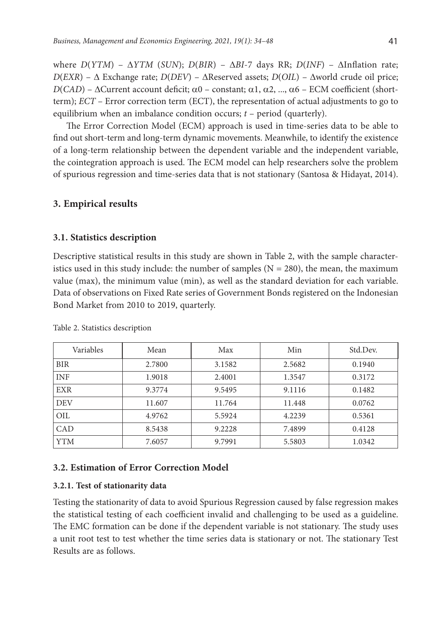where *D*(*YTM*) – Δ*YTM* (*SUN*); *D*(*BIR*) – Δ*BI*-7 days RR; *D*(*INF*) – ΔInflation rate; *D*(*EXR*) – Δ Exchange rate; *D*(*DEV*) – ΔReserved assets; *D*(*OIL*) – Δworld crude oil price; *D*(*CAD*) – ΔCurrent account deficit;  $α0$  – constant;  $α1$ ,  $α2$ , ...,  $α6$  – ECM coefficient (shortterm); *ECT* – Error correction term (ECT), the representation of actual adjustments to go to equilibrium when an imbalance condition occurs; *t* – period (quarterly).

The Error Correction Model (ECM) approach is used in time-series data to be able to find out short-term and long-term dynamic movements. Meanwhile, to identify the existence of a long-term relationship between the dependent variable and the independent variable, the cointegration approach is used. The ECM model can help researchers solve the problem of spurious regression and time-series data that is not stationary (Santosa & Hidayat, 2014).

## **3. Empirical results**

### **3.1. Statistics description**

Descriptive statistical results in this study are shown in Table 2, with the sample characteristics used in this study include: the number of samples  $(N = 280)$ , the mean, the maximum value (max), the minimum value (min), as well as the standard deviation for each variable. Data of observations on Fixed Rate series of Government Bonds registered on the Indonesian Bond Market from 2010 to 2019, quarterly.

| Variables  | Mean   | Max    | Min    | Std.Dev. |
|------------|--------|--------|--------|----------|
| <b>BIR</b> | 2.7800 | 3.1582 | 2.5682 | 0.1940   |
| <b>INF</b> | 1.9018 | 2.4001 | 1.3547 | 0.3172   |
| <b>EXR</b> | 9.3774 | 9.5495 | 9.1116 | 0.1482   |
| <b>DEV</b> | 11.607 | 11.764 | 11.448 | 0.0762   |
| <b>OIL</b> | 4.9762 | 5.5924 | 4.2239 | 0.5361   |
| CAD        | 8.5438 | 9.2228 | 7.4899 | 0.4128   |
| YTM        | 7.6057 | 9.7991 | 5.5803 | 1.0342   |

Table 2. Statistics description

#### **3.2. Estimation of Error Correction Model**

#### **3.2.1. Test of stationarity data**

Testing the stationarity of data to avoid Spurious Regression caused by false regression makes the statistical testing of each coefficient invalid and challenging to be used as a guideline. The EMC formation can be done if the dependent variable is not stationary. The study uses a unit root test to test whether the time series data is stationary or not. The stationary Test Results are as follows.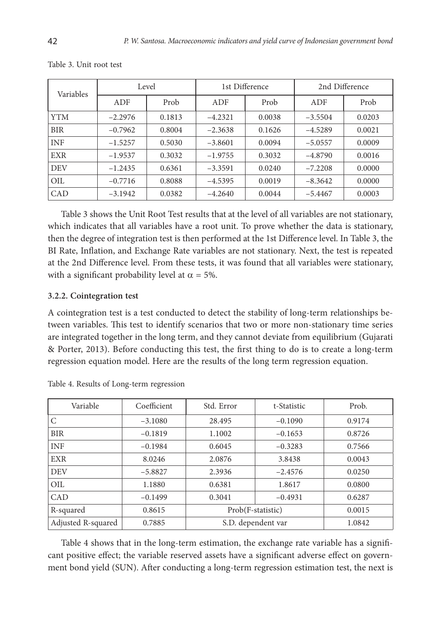| Variables  | Level     |        | 1st Difference |        | 2nd Difference |        |
|------------|-----------|--------|----------------|--------|----------------|--------|
|            | ADF       | Prob   | ADF            | Prob   | ADF            | Prob   |
| <b>YTM</b> | $-2.2976$ | 0.1813 | $-4.2321$      | 0.0038 | $-3.5504$      | 0.0203 |
| <b>BIR</b> | $-0.7962$ | 0.8004 | $-2.3638$      | 0.1626 | $-4.5289$      | 0.0021 |
| <b>INF</b> | $-1.5257$ | 0.5030 | $-3.8601$      | 0.0094 | $-5.0557$      | 0.0009 |
| <b>EXR</b> | $-1.9537$ | 0.3032 | $-1.9755$      | 0.3032 | $-4.8790$      | 0.0016 |
| <b>DEV</b> | $-1.2435$ | 0.6361 | $-3.3591$      | 0.0240 | $-7.2208$      | 0.0000 |
| OIL        | $-0.7716$ | 0.8088 | $-4.5395$      | 0.0019 | $-8.3642$      | 0.0000 |
| CAD        | $-3.1942$ | 0.0382 | $-4.2640$      | 0.0044 | $-5.4467$      | 0.0003 |

Table 3. Unit root test

Table 3 shows the Unit Root Test results that at the level of all variables are not stationary, which indicates that all variables have a root unit. To prove whether the data is stationary, then the degree of integration test is then performed at the 1st Difference level. In Table 3, the BI Rate, Inflation, and Exchange Rate variables are not stationary. Next, the test is repeated at the 2nd Difference level. From these tests, it was found that all variables were stationary, with a significant probability level at  $\alpha = 5\%$ .

## **3.2.2. Cointegration test**

A cointegration test is a test conducted to detect the stability of long-term relationships between variables. This test to identify scenarios that two or more non-stationary time series are integrated together in the long term, and they cannot deviate from equilibrium (Gujarati & Porter, 2013). Before conducting this test, the first thing to do is to create a long-term regression equation model. Here are the results of the long term regression equation.

| Variable           | Coefficient | Std. Error         | t-Statistic | Prob.  |
|--------------------|-------------|--------------------|-------------|--------|
| C                  | $-3.1080$   | 28.495             | $-0.1090$   | 0.9174 |
| <b>BIR</b>         | $-0.1819$   | 1.1002             | $-0.1653$   | 0.8726 |
| <b>INF</b>         | $-0.1984$   | 0.6045             | $-0.3283$   | 0.7566 |
| <b>EXR</b>         | 8.0246      | 2.0876             | 3.8438      | 0.0043 |
| <b>DEV</b>         | $-5.8827$   | 2.3936             | $-2.4576$   | 0.0250 |
| OIL                | 1.1880      | 0.6381             | 1.8617      | 0.0800 |
| CAD                | $-0.1499$   | 0.3041             | $-0.4931$   | 0.6287 |
| R-squared          | 0.8615      | Prob(F-statistic)  |             | 0.0015 |
| Adjusted R-squared | 0.7885      | S.D. dependent var |             | 1.0842 |

Table 4. Results of Long-term regression

Table 4 shows that in the long-term estimation, the exchange rate variable has a significant positive effect; the variable reserved assets have a significant adverse effect on government bond yield (SUN). After conducting a long-term regression estimation test, the next is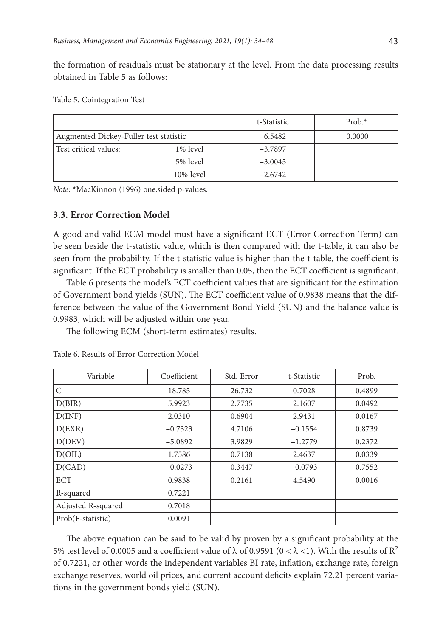the formation of residuals must be stationary at the level. From the data processing results obtained in Table 5 as follows:

|  | Table 5. Cointegration Test |  |
|--|-----------------------------|--|
|--|-----------------------------|--|

|                                        |           | t-Statistic | $Prob.*$ |
|----------------------------------------|-----------|-------------|----------|
| Augmented Dickey-Fuller test statistic |           | $-6.5482$   | 0.0000   |
| Test critical values:                  | 1% level  | $-3.7897$   |          |
|                                        | 5% level  | $-3.0045$   |          |
|                                        | 10% level | $-2.6742$   |          |

*Note*: \*MacKinnon (1996) one.sided p-values.

## **3.3. Error Correction Model**

A good and valid ECM model must have a significant ECT (Error Correction Term) can be seen beside the t-statistic value, which is then compared with the t-table, it can also be seen from the probability. If the t-statistic value is higher than the t-table, the coefficient is significant. If the ECT probability is smaller than 0.05, then the ECT coefficient is significant.

Table 6 presents the model's ECT coefficient values that are significant for the estimation of Government bond yields (SUN). The ECT coefficient value of 0.9838 means that the difference between the value of the Government Bond Yield (SUN) and the balance value is 0.9983, which will be adjusted within one year.

The following ECM (short-term estimates) results.

| Variable           | Coefficient | Std. Error | t-Statistic | Prob.  |
|--------------------|-------------|------------|-------------|--------|
| C                  | 18.785      | 26.732     | 0.7028      | 0.4899 |
| D(BIR)             | 5.9923      | 2.7735     | 2.1607      | 0.0492 |
| D(INF)             | 2.0310      | 0.6904     | 2.9431      | 0.0167 |
| D(EXR)             | $-0.7323$   | 4.7106     | $-0.1554$   | 0.8739 |
| D(DEV)             | $-5.0892$   | 3.9829     | $-1.2779$   | 0.2372 |
| D(OIL)             | 1.7586      | 0.7138     | 2.4637      | 0.0339 |
| D(CAD)             | $-0.0273$   | 0.3447     | $-0.0793$   | 0.7552 |
| ECT                | 0.9838      | 0.2161     | 4.5490      | 0.0016 |
| R-squared          | 0.7221      |            |             |        |
| Adjusted R-squared | 0.7018      |            |             |        |
| Prob(F-statistic)  | 0.0091      |            |             |        |

Table 6. Results of Error Correction Model

The above equation can be said to be valid by proven by a significant probability at the 5% test level of 0.0005 and a coefficient value of  $\lambda$  of 0.9591 (0 <  $\lambda$  <1). With the results of R<sup>2</sup> of 0.7221, or other words the independent variables BI rate, inflation, exchange rate, foreign exchange reserves, world oil prices, and current account deficits explain 72.21 percent variations in the government bonds yield (SUN).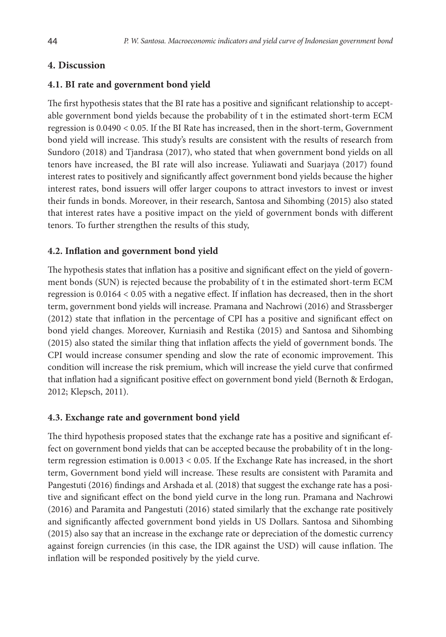# **4. Discussion**

## **4.1. BI rate and government bond yield**

The first hypothesis states that the BI rate has a positive and significant relationship to acceptable government bond yields because the probability of t in the estimated short-term ECM regression is 0.0490 < 0.05. If the BI Rate has increased, then in the short-term, Government bond yield will increase. This study's results are consistent with the results of research from Sundoro (2018) and Tjandrasa (2017), who stated that when government bond yields on all tenors have increased, the BI rate will also increase. Yuliawati and Suarjaya (2017) found interest rates to positively and significantly affect government bond yields because the higher interest rates, bond issuers will offer larger coupons to attract investors to invest or invest their funds in bonds. Moreover, in their research, Santosa and Sihombing (2015) also stated that interest rates have a positive impact on the yield of government bonds with different tenors. To further strengthen the results of this study,

## **4.2. Inflation and government bond yield**

The hypothesis states that inflation has a positive and significant effect on the yield of government bonds (SUN) is rejected because the probability of t in the estimated short-term ECM regression is 0.0164 < 0.05 with a negative effect. If inflation has decreased, then in the short term, government bond yields will increase. Pramana and Nachrowi (2016) and Strassberger (2012) state that inflation in the percentage of CPI has a positive and significant effect on bond yield changes. Moreover, Kurniasih and Restika (2015) and Santosa and Sihombing (2015) also stated the similar thing that inflation affects the yield of government bonds. The CPI would increase consumer spending and slow the rate of economic improvement. This condition will increase the risk premium, which will increase the yield curve that confirmed that inflation had a significant positive effect on government bond yield (Bernoth & Erdogan, 2012; Klepsch, 2011).

# **4.3. Exchange rate and government bond yield**

The third hypothesis proposed states that the exchange rate has a positive and significant effect on government bond yields that can be accepted because the probability of t in the longterm regression estimation is 0.0013 < 0.05. If the Exchange Rate has increased, in the short term, Government bond yield will increase. These results are consistent with Paramita and Pangestuti (2016) findings and Arshada et al. (2018) that suggest the exchange rate has a positive and significant effect on the bond yield curve in the long run. Pramana and Nachrowi (2016) and Paramita and Pangestuti (2016) stated similarly that the exchange rate positively and significantly affected government bond yields in US Dollars. Santosa and Sihombing (2015) also say that an increase in the exchange rate or depreciation of the domestic currency against foreign currencies (in this case, the IDR against the USD) will cause inflation. The inflation will be responded positively by the yield curve.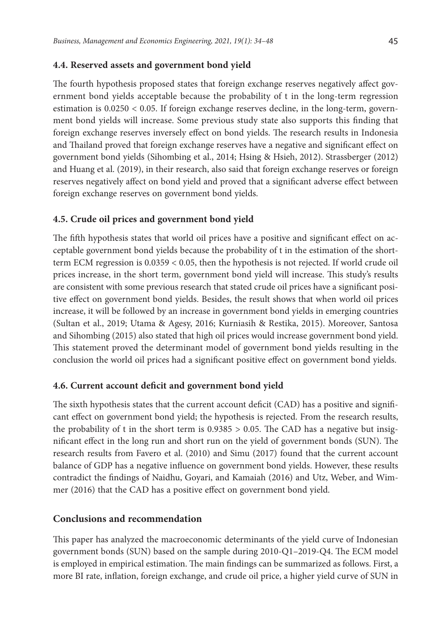### **4.4. Reserved assets and government bond yield**

The fourth hypothesis proposed states that foreign exchange reserves negatively affect government bond yields acceptable because the probability of t in the long-term regression estimation is 0.0250 < 0.05. If foreign exchange reserves decline, in the long-term, government bond yields will increase. Some previous study state also supports this finding that foreign exchange reserves inversely effect on bond yields. The research results in Indonesia and Thailand proved that foreign exchange reserves have a negative and significant effect on government bond yields (Sihombing et al., 2014; Hsing & Hsieh, 2012). Strassberger (2012) and Huang et al. (2019), in their research, also said that foreign exchange reserves or foreign reserves negatively affect on bond yield and proved that a significant adverse effect between foreign exchange reserves on government bond yields.

## **4.5. Crude oil prices and government bond yield**

The fifth hypothesis states that world oil prices have a positive and significant effect on acceptable government bond yields because the probability of t in the estimation of the shortterm ECM regression is 0.0359 < 0.05, then the hypothesis is not rejected. If world crude oil prices increase, in the short term, government bond yield will increase. This study's results are consistent with some previous research that stated crude oil prices have a significant positive effect on government bond yields. Besides, the result shows that when world oil prices increase, it will be followed by an increase in government bond yields in emerging countries (Sultan et al., 2019; Utama & Agesy, 2016; Kurniasih & Restika, 2015). Moreover, Santosa and Sihombing (2015) also stated that high oil prices would increase government bond yield. This statement proved the determinant model of government bond yields resulting in the conclusion the world oil prices had a significant positive effect on government bond yields.

## **4.6. Current account deficit and government bond yield**

The sixth hypothesis states that the current account deficit (CAD) has a positive and significant effect on government bond yield; the hypothesis is rejected. From the research results, the probability of t in the short term is  $0.9385 > 0.05$ . The CAD has a negative but insignificant effect in the long run and short run on the yield of government bonds (SUN). The research results from Favero et al. (2010) and Simu (2017) found that the current account balance of GDP has a negative influence on government bond yields. However, these results contradict the findings of Naidhu, Goyari, and Kamaiah (2016) and Utz, Weber, and Wimmer (2016) that the CAD has a positive effect on government bond yield.

## **Conclusions and recommendation**

This paper has analyzed the macroeconomic determinants of the yield curve of Indonesian government bonds (SUN) based on the sample during 2010-Q1–2019-Q4. The ECM model is employed in empirical estimation. The main findings can be summarized as follows. First, a more BI rate, inflation, foreign exchange, and crude oil price, a higher yield curve of SUN in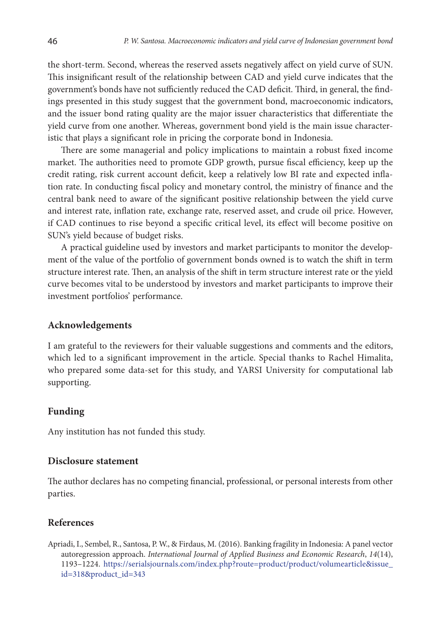the short-term. Second, whereas the reserved assets negatively affect on yield curve of SUN. This insignificant result of the relationship between CAD and yield curve indicates that the government's bonds have not sufficiently reduced the CAD deficit. Third, in general, the findings presented in this study suggest that the government bond, macroeconomic indicators, and the issuer bond rating quality are the major issuer characteristics that differentiate the yield curve from one another. Whereas, government bond yield is the main issue characteristic that plays a significant role in pricing the corporate bond in Indonesia.

There are some managerial and policy implications to maintain a robust fixed income market. The authorities need to promote GDP growth, pursue fiscal efficiency, keep up the credit rating, risk current account deficit, keep a relatively low BI rate and expected inflation rate. In conducting fiscal policy and monetary control, the ministry of finance and the central bank need to aware of the significant positive relationship between the yield curve and interest rate, inflation rate, exchange rate, reserved asset, and crude oil price. However, if CAD continues to rise beyond a specific critical level, its effect will become positive on SUN's yield because of budget risks.

A practical guideline used by investors and market participants to monitor the development of the value of the portfolio of government bonds owned is to watch the shift in term structure interest rate. Then, an analysis of the shift in term structure interest rate or the yield curve becomes vital to be understood by investors and market participants to improve their investment portfolios' performance.

### **Acknowledgements**

I am grateful to the reviewers for their valuable suggestions and comments and the editors, which led to a significant improvement in the article. Special thanks to Rachel Himalita, who prepared some data-set for this study, and YARSI University for computational lab supporting.

## **Funding**

Any institution has not funded this study.

#### **Disclosure statement**

The author declares has no competing financial, professional, or personal interests from other parties.

### **References**

Apriadi, I., Sembel, R., Santosa, P. W., & Firdaus, M. (2016). Banking fragility in Indonesia: A panel vector autoregression approach. *International Journal of Applied Business and Economic Research*, *14*(14), 1193–1224. https://serialsjournals.com/index.php?route=product/product/volumearticle&issue\_ id=318&product\_id=343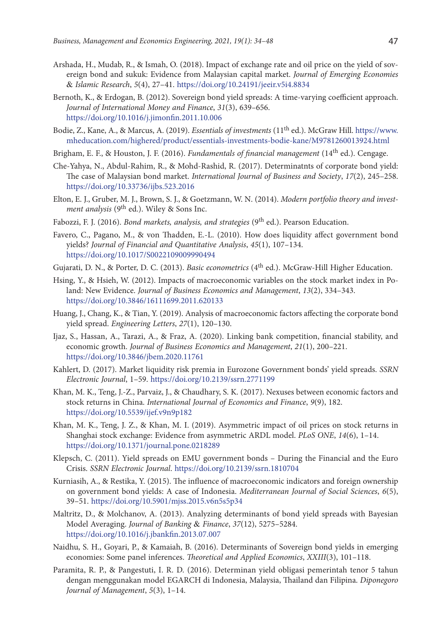- Arshada, H., Mudab, R., & Ismah, O. (2018). Impact of exchange rate and oil price on the yield of sovereign bond and sukuk: Evidence from Malaysian capital market. *Journal of Emerging Economies*  & *Islamic Research*, *5*(4), 27–41. https://doi.org/10.24191/jeeir.v5i4.8834
- Bernoth, K., & Erdogan, B. (2012). Sovereign bond yield spreads: A time-varying coefficient approach. *Journal of International Money and Finance*, *31*(3), 639–656. https://doi.org/10.1016/j.jimonfin.2011.10.006
- Bodie, Z., Kane, A., & Marcus, A. (2019). *Essentials of investments* (11th ed.). McGraw Hill. https://www. mheducation.com/highered/product/essentials-investments-bodie-kane/M9781260013924.html
- Brigham, E. F., & Houston, J. F. (2016). *Fundamentals of financial management* (14th ed.). Cengage.
- Che-Yahya, N., Abdul-Rahim, R., & Mohd-Rashid, R. (2017). Determinatnts of corporate bond yield: The case of Malaysian bond market. *International Journal of Business and Society*, *17*(2), 245–258. https://doi.org/10.33736/ijbs.523.2016
- Elton, E. J., Gruber, M. J., Brown, S. J., & Goetzmann, W. N. (2014). *Modern portfolio theory and investment analysis* (9th ed.). Wiley & Sons Inc.
- Fabozzi, F. J. (2016). *Bond markets, analysis, and strategies* (9th ed.). Pearson Education.
- Favero, C., Pagano, M., & von Thadden, E.-L. (2010). How does liquidity affect government bond yields? *Journal of Financial and Quantitative Analysis*, *45*(1), 107–134. https://doi.org/10.1017/S0022109009990494
- Gujarati, D. N., & Porter, D. C. (2013). *Basic econometrics* (4th ed.). McGraw-Hill Higher Education.
- Hsing, Y., & Hsieh, W. (2012). Impacts of macroeconomic variables on the stock market index in Poland: New Evidence. *Journal of Business Economics and Management*, *13*(2), 334–343. https://doi.org/10.3846/16111699.2011.620133
- Huang, J., Chang, K., & Tian, Y. (2019). Analysis of macroeconomic factors affecting the corporate bond yield spread. *Engineering Letters*, *27*(1), 120–130.
- Ijaz, S., Hassan, A., Tarazi, A., & Fraz, A. (2020). Linking bank competition, financial stability, and economic growth. *Journal of Business Economics and Management*, *21*(1), 200–221. https://doi.org/10.3846/jbem.2020.11761
- Kahlert, D. (2017). Market liquidity risk premia in Eurozone Government bonds' yield spreads. *SSRN Electronic Journal*, 1–59. https://doi.org/10.2139/ssrn.2771199
- Khan, M. K., Teng, J.-Z., Parvaiz, J., & Chaudhary, S. K. (2017). Nexuses between economic factors and stock returns in China. *International Journal of Economics and Finance*, *9*(9), 182. https://doi.org/10.5539/ijef.v9n9p182
- Khan, M. K., Teng, J. Z., & Khan, M. I. (2019). Asymmetric impact of oil prices on stock returns in Shanghai stock exchange: Evidence from asymmetric ARDL model. *PLoS ONE*, *14*(6), 1–14. https://doi.org/10.1371/journal.pone.0218289
- Klepsch, C. (2011). Yield spreads on EMU government bonds During the Financial and the Euro Crisis. *SSRN Electronic Journal*. https://doi.org/10.2139/ssrn.1810704
- Kurniasih, A., & Restika, Y. (2015). The influence of macroeconomic indicators and foreign ownership on government bond yields: A case of Indonesia. *Mediterranean Journal of Social Sciences*, *6*(5), 39–51. https://doi.org/10.5901/mjss.2015.v6n5s5p34
- Maltritz, D., & Molchanov, A. (2013). Analyzing determinants of bond yield spreads with Bayesian Model Averaging. *Journal of Banking* & *Finance*, *37*(12), 5275–5284. https://doi.org/10.1016/j.jbankfin.2013.07.007
- Naidhu, S. H., Goyari, P., & Kamaiah, B. (2016). Determinants of Sovereign bond yields in emerging economies: Some panel inferences. *Theoretical and Applied Economics*, *XXIII*(3), 101–118.
- Paramita, R. P., & Pangestuti, I. R. D. (2016). Determinan yield obligasi pemerintah tenor 5 tahun dengan menggunakan model EGARCH di Indonesia, Malaysia, Thailand dan Filipina. *Diponegoro Journal of Management*, *5*(3), 1–14.